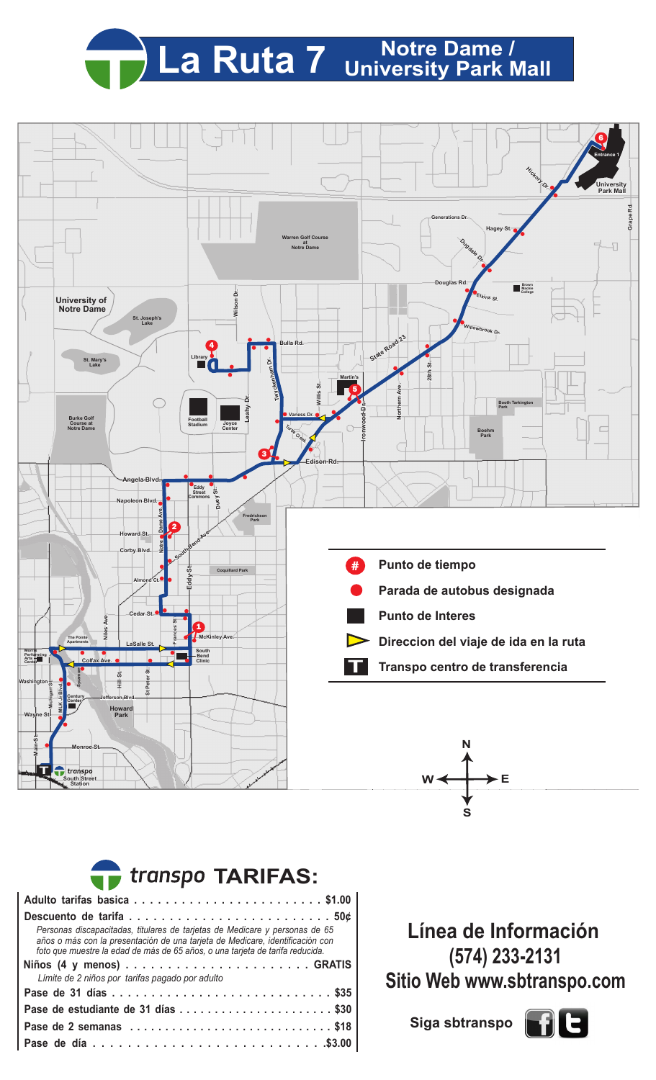## La Ruta 7 University Park Mall



| transpo TARIFAS:                                                                                                                                                                                                                              |  |  |  |  |  |  |  |  |  |  |  |
|-----------------------------------------------------------------------------------------------------------------------------------------------------------------------------------------------------------------------------------------------|--|--|--|--|--|--|--|--|--|--|--|
|                                                                                                                                                                                                                                               |  |  |  |  |  |  |  |  |  |  |  |
|                                                                                                                                                                                                                                               |  |  |  |  |  |  |  |  |  |  |  |
| Personas discapacitadas, titulares de tarjetas de Medicare y personas de 65<br>años o más con la presentación de una tarjeta de Medicare, identificación con<br>foto que muestre la edad de más de 65 años, o una tarjeta de tarifa reducida. |  |  |  |  |  |  |  |  |  |  |  |
| Límite de 2 niños por tarifas pagado por adulto                                                                                                                                                                                               |  |  |  |  |  |  |  |  |  |  |  |
|                                                                                                                                                                                                                                               |  |  |  |  |  |  |  |  |  |  |  |
| Pase de estudiante de 31 días \$30                                                                                                                                                                                                            |  |  |  |  |  |  |  |  |  |  |  |
| Pase de 2 semanas \$18                                                                                                                                                                                                                        |  |  |  |  |  |  |  |  |  |  |  |
|                                                                                                                                                                                                                                               |  |  |  |  |  |  |  |  |  |  |  |

**Línea de Información (574) 233-2131 Sitio Web www.sbtranspo.com**

**Siga sbtranspo**